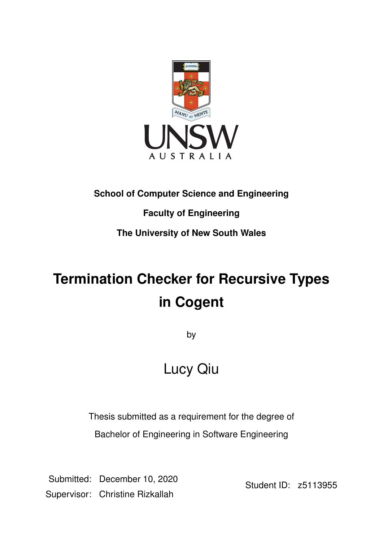

### **School of Computer Science and Engineering**

### **Faculty of Engineering**

**The University of New South Wales**

# **Termination Checker for Recursive Types in Cogent**

by

# Lucy Qiu

Thesis submitted as a requirement for the degree of Bachelor of Engineering in Software Engineering

Submitted: December 10, 2020 Supervisor: Christine Rizkallah

Student ID: z5113955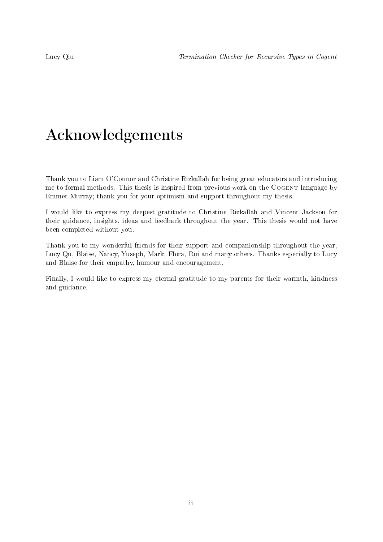# Acknowledgements

Thank you to Liam O'Connor and Christine Rizkallah for being great educators and introducing me to formal methods. This thesis is inspired from previous work on the COGENT language by Emmet Murray; thank you for your optimism and support throughout my thesis.

I would like to express my deepest gratitude to Christine Rizkallah and Vincent Jackson for their guidance, insights, ideas and feedback throughout the year. This thesis would not have been completed without you.

Thank you to my wonderful friends for their support and companionship throughout the year; Lucy Qu, Blaise, Nancy, Yuseph, Mark, Flora, Rui and many others. Thanks especially to Lucy and Blaise for their empathy, humour and encouragement.

Finally, I would like to express my eternal gratitude to my parents for their warmth, kindness and guidance.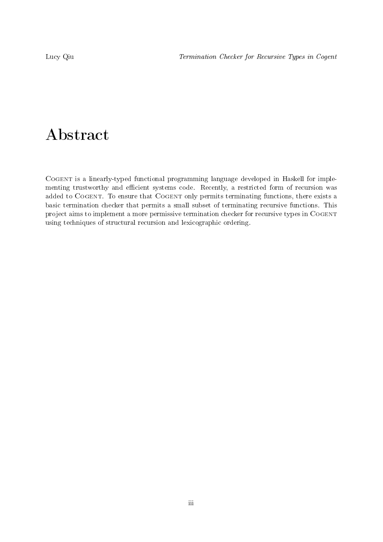# Abstract

Cogent is a linearly-typed functional programming language developed in Haskell for implementing trustworthy and efficient systems code. Recently, a restricted form of recursion was added to COGENT. To ensure that COGENT only permits terminating functions, there exists a basic termination checker that permits a small subset of terminating recursive functions. This project aims to implement a more permissive termination checker for recursive types in Cogent using techniques of structural recursion and lexicographic ordering.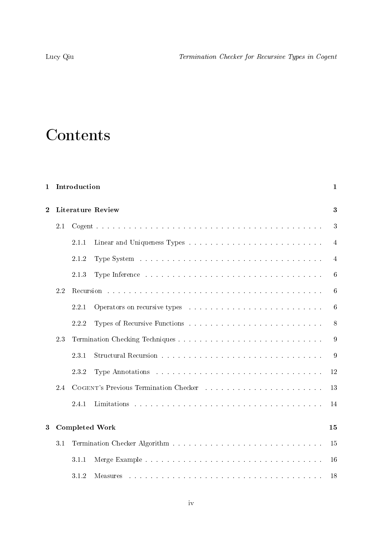# Contents

| $\mathbf 1$ |     | Introduction |                                                                                                                                                                                                                                | 1              |
|-------------|-----|--------------|--------------------------------------------------------------------------------------------------------------------------------------------------------------------------------------------------------------------------------|----------------|
| $\bf{2}$    |     |              | <b>Literature Review</b>                                                                                                                                                                                                       | 3              |
|             | 2.1 |              |                                                                                                                                                                                                                                | 3              |
|             |     | 2.1.1        |                                                                                                                                                                                                                                | $\overline{4}$ |
|             |     | 2.1.2        |                                                                                                                                                                                                                                | $\overline{4}$ |
|             |     | 2.1.3        | Type Inference entering the service contract of the service of the International Contract of the International Contract of the International Contract of the International Contract of Table                                   | 6              |
|             | 2.2 |              |                                                                                                                                                                                                                                | 6              |
|             |     | 2.2.1        |                                                                                                                                                                                                                                | 6              |
|             |     | 2.2.2        |                                                                                                                                                                                                                                | 8              |
|             | 2.3 |              |                                                                                                                                                                                                                                | 9              |
|             |     | 231          |                                                                                                                                                                                                                                | 9              |
|             |     | 2.3.2        | Type Annotations enterprise in the contract of the contract of the Announcement Contract of the Contract of the Announcement Contract of Announcement Contract of the Announcement Contract of Announcement Contract of Announ | 12             |
|             | 2.4 |              | COGENT's Previous Termination Checker (Albert ), Albert (Albert ), Albert (Albert ), Albert (Albert ), Albert (Albert ), Albert (Albert ), Albert (Albert ), Albert (Albert ), Albert (Albert ), Albert (Albert ), Albert (Alb | 13             |
|             |     | 2.4.1        | Limitations in the contract of the contract of the contract of the contract of the contract of the contract of the contract of the contract of the contract of the contract of the contract of the contract of the contract of | 14             |
| $\bf{3}$    |     |              | <b>Completed Work</b>                                                                                                                                                                                                          | 15             |
|             | 3.1 |              |                                                                                                                                                                                                                                | 15             |
|             |     | $3.1.1$      |                                                                                                                                                                                                                                | 16             |
|             |     | 3.1.2        | Measures and an annual contract and an annual contract and an annual contract of the set of the set of the set of the set of the set of the set of the set of the set of the set of the set of the set of the set of the set o | 18             |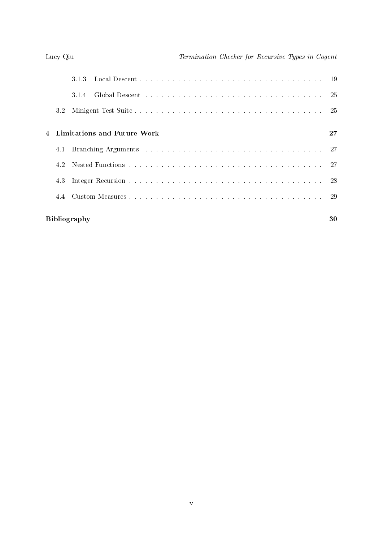| Lucy Qiu                          | Termination Checker for Recursive Types in Cogent |  |  |  |  |
|-----------------------------------|---------------------------------------------------|--|--|--|--|
|                                   | 3.1.3                                             |  |  |  |  |
|                                   | 3.1.4                                             |  |  |  |  |
| 3.2                               |                                                   |  |  |  |  |
| Limitations and Future Work<br>27 |                                                   |  |  |  |  |
| 4.1                               | -27                                               |  |  |  |  |
| 4.2                               |                                                   |  |  |  |  |
| 4.3                               | 28                                                |  |  |  |  |
| 4.4                               |                                                   |  |  |  |  |
|                                   |                                                   |  |  |  |  |

### Bibliography 30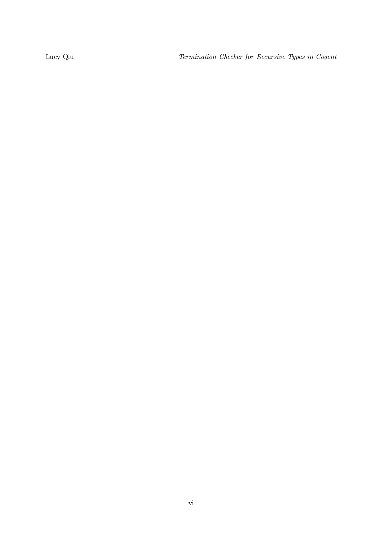Lucy Qiu Termination Checker for Recursive Types in Cogent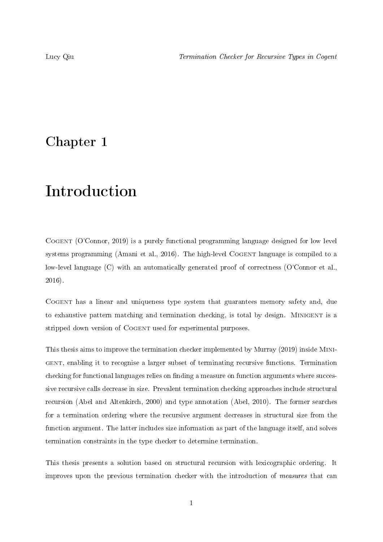## Chapter 1

## Introduction

Cogent (O'Connor, 2019) is a purely functional programming language designed for low level systems programming (Amani et al., 2016). The high-level COGENT language is compiled to a low-level language (C) with an automatically generated proof of correctness (O'Connor et al., 2016).

Cogent has a linear and uniqueness type system that guarantees memory safety and, due to exhaustive pattern matching and termination checking, is total by design. MINIGENT is a stripped down version of COGENT used for experimental purposes.

This thesis aims to improve the termination checker implemented by Murray (2019) inside Minigent, enabling it to recognise a larger subset of terminating recursive functions. Termination checking for functional languages relies on finding a measure on function arguments where successive recursive calls decrease in size. Prevalent termination checking approaches include structural recursion (Abel and Altenkirch, 2000) and type annotation (Abel, 2010). The former searches for a termination ordering where the recursive argument decreases in structural size from the function argument. The latter includes size information as part of the language itself, and solves termination constraints in the type checker to determine termination.

This thesis presents a solution based on structural recursion with lexicographic ordering. It improves upon the previous termination checker with the introduction of measures that can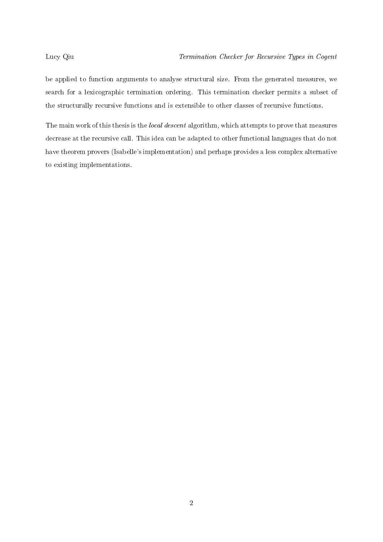be applied to function arguments to analyse structural size. From the generated measures, we search for a lexicographic termination ordering. This termination checker permits a subset of the structurally recursive functions and is extensible to other classes of recursive functions.

The main work of this thesis is the *local descent* algorithm, which attempts to prove that measures decrease at the recursive call. This idea can be adapted to other functional languages that do not have theorem provers (Isabelle's implementation) and perhaps provides a less complex alternative to existing implementations.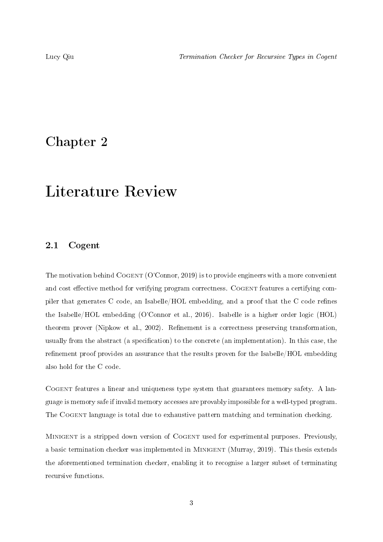### Chapter 2

## Literature Review

#### 2.1 Cogent

The motivation behind COGENT (O'Connor, 2019) is to provide engineers with a more convenient and cost effective method for verifying program correctness. COGENT features a certifying compiler that generates C code, an Isabelle/HOL embedding, and a proof that the C code refines the Isabelle/HOL embedding (O'Connor et al., 2016). Isabelle is a higher order logic (HOL) theorem prover (Nipkow et al., 2002). Refinement is a correctness preserving transformation, usually from the abstract (a specification) to the concrete (an implementation). In this case, the refinement proof provides an assurance that the results proven for the Isabelle/HOL embedding also hold for the C code.

Cogent features a linear and uniqueness type system that guarantees memory safety. A language is memory safe if invalid memory accesses are provably impossible for a well-typed program. The Cogent language is total due to exhaustive pattern matching and termination checking.

Minigent is a stripped down version of Cogent used for experimental purposes. Previously, a basic termination checker was implemented in Minigent (Murray, 2019). This thesis extends the aforementioned termination checker, enabling it to recognise a larger subset of terminating recursive functions.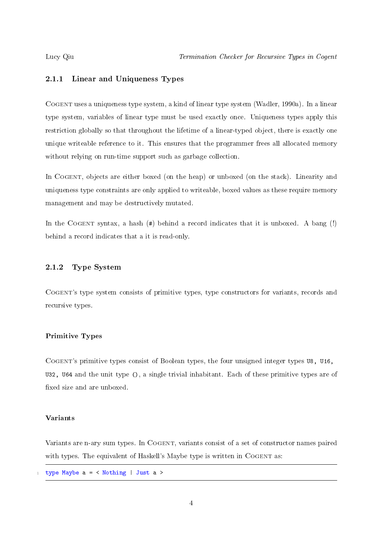#### 2.1.1 Linear and Uniqueness Types

Cogent uses a uniqueness type system, a kind of linear type system (Wadler, 1990a). In a linear type system, variables of linear type must be used exactly once. Uniqueness types apply this restriction globally so that throughout the lifetime of a linear-typed object, there is exactly one unique writeable reference to it. This ensures that the programmer frees all allocated memory without relying on run-time support such as garbage collection.

In Cogent, objects are either boxed (on the heap) or unboxed (on the stack). Linearity and uniqueness type constraints are only applied to writeable, boxed values as these require memory management and may be destructively mutated.

In the COGENT syntax, a hash  $(*)$  behind a record indicates that it is unboxed. A bang  $(!)$ behind a record indicates that a it is read-only.

#### 2.1.2 Type System

Cogent's type system consists of primitive types, type constructors for variants, records and recursive types.

#### Primitive Types

Cogent's primitive types consist of Boolean types, the four unsigned integer types U8, U16, U32, U64 and the unit type (), a single trivial inhabitant. Each of these primitive types are of xed size and are unboxed.

#### Variants

Variants are n-ary sum types. In COGENT, variants consist of a set of constructor names paired with types. The equivalent of Haskell's Maybe type is written in COGENT as:

type Maybe  $a = \langle$  Nothing | Just  $a >$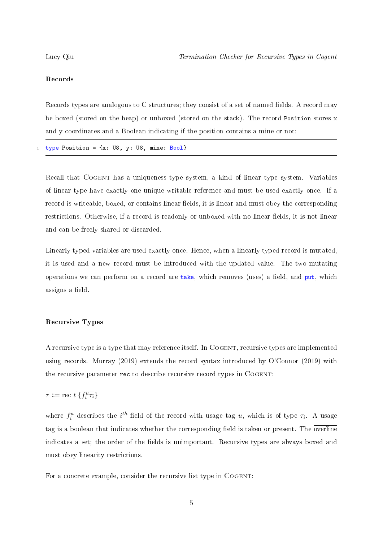#### Records

Records types are analogous to C structures; they consist of a set of named fields. A record may be boxed (stored on the heap) or unboxed (stored on the stack). The record Position stores x and y coordinates and a Boolean indicating if the position contains a mine or not:

type Position =  $\{x: \ \text{U8}, \ \text{y}: \ \text{U8}, \ \text{mine: } \text{Bool}\}\$ 

Recall that Cogent has a uniqueness type system, a kind of linear type system. Variables of linear type have exactly one unique writable reference and must be used exactly once. If a record is writeable, boxed, or contains linear fields, it is linear and must obey the corresponding restrictions. Otherwise, if a record is readonly or unboxed with no linear fields, it is not linear and can be freely shared or discarded.

Linearly typed variables are used exactly once. Hence, when a linearly typed record is mutated, it is used and a new record must be introduced with the updated value. The two mutating operations we can perform on a record are take, which removes (uses) a field, and put, which assigns a field.

#### Recursive Types

A recursive type is a type that may reference itself. In COGENT, recursive types are implemented using records. Murray (2019) extends the record syntax introduced by O'Connor (2019) with the recursive parameter rec to describe recursive record types in Cogent:

 $\tau := \text{rec } t \left\{ \overline{f_i^u \tau_i} \right\}$ 

where  $f_i^u$  describes the  $i^{th}$  field of the record with usage tag u, which is of type  $\tau_i$ . A usage tag is a boolean that indicates whether the corresponding field is taken or present. The  $\overline{\text{overline}}$ indicates a set; the order of the fields is unimportant. Recursive types are always boxed and must obey linearity restrictions.

For a concrete example, consider the recursive list type in Cogent: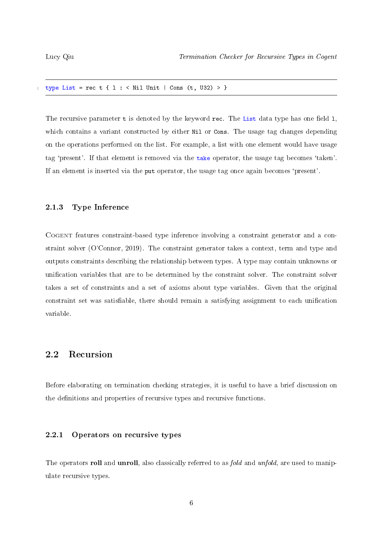type List = rec t {  $1:$  < Nil Unit | Cons (t, U32) > }

The recursive parameter  $t$  is denoted by the keyword rec. The List data type has one field 1, which contains a variant constructed by either Nil or Cons. The usage tag changes depending on the operations performed on the list. For example, a list with one element would have usage tag 'present'. If that element is removed via the take operator, the usage tag becomes 'taken'. If an element is inserted via the put operator, the usage tag once again becomes `present'.

#### 2.1.3 Type Inference

Cogent features constraint-based type inference involving a constraint generator and a constraint solver (O'Connor, 2019). The constraint generator takes a context, term and type and outputs constraints describing the relationship between types. A type may contain unknowns or unification variables that are to be determined by the constraint solver. The constraint solver takes a set of constraints and a set of axioms about type variables. Given that the original constraint set was satisfiable, there should remain a satisfying assignment to each unification variable.

#### 2.2 Recursion

Before elaborating on termination checking strategies, it is useful to have a brief discussion on the definitions and properties of recursive types and recursive functions.

#### 2.2.1 Operators on recursive types

The operators roll and unroll, also classically referred to as *fold* and *unfold*, are used to manipulate recursive types.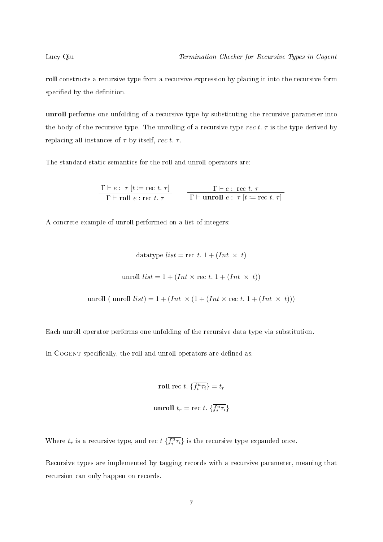roll constructs a recursive type from a recursive expression by placing it into the recursive form specified by the definition.

unroll performs one unfolding of a recursive type by substituting the recursive parameter into the body of the recursive type. The unrolling of a recursive type rec t.  $\tau$  is the type derived by replacing all instances of  $\tau$  by itself, rec t.  $\tau$ .

The standard static semantics for the roll and unroll operators are:

$$
\frac{\Gamma \vdash e : \tau [t \coloneqq \text{rec } t. \tau]}{\Gamma \vdash \text{roll } e : \text{rec } t. \tau} \qquad \frac{\Gamma \vdash e : \text{ rec } t. \tau}{\Gamma \vdash \text{unroll } e : \tau [t \coloneqq \text{rec } t. \tau]}
$$

A concrete example of unroll performed on a list of integers:

datatype 
$$
list = \text{rec } t \cdot 1 + (Int \times t)
$$
  
unroll  $list = 1 + (Int \times \text{rec } t \cdot 1 + (Int \times t))$   
unroll ( unroll  $list) = 1 + (Int \times (1 + (Int \times \text{rec } t \cdot 1 + (Int \times t)))$ 

Each unroll operator performs one unfolding of the recursive data type via substitution.

In COGENT specifically, the roll and unroll operators are defined as:

roll rec 
$$
t
$$
.  $\{\overline{f_i^u \tau_i}\} = t_r$   
unroll  $t_r$  = rec  $t$ .  $\{\overline{f_i^u \tau_i}\}$ 

Where  $t_r$  is a recursive type, and rec  $t \left\{ \overline{f_i^u \tau_i} \right\}$  is the recursive type expanded once.

Recursive types are implemented by tagging records with a recursive parameter, meaning that recursion can only happen on records.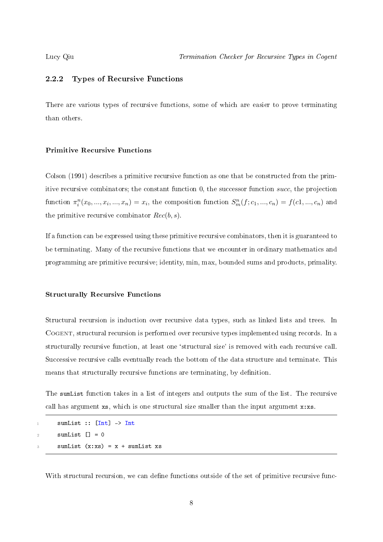#### 2.2.2 Types of Recursive Functions

There are various types of recursive functions, some of which are easier to prove terminating than others.

#### Primitive Recursive Functions

Colson (1991) describes a primitive recursive function as one that be constructed from the primitive recursive combinators; the constant function 0, the successor function succ, the projection function  $\pi_i^n(x_0, ..., x_i, ..., x_n) = x_i$ , the composition function  $S_m^n(f; c_1, ..., c_n) = f(c_1, ..., c_n)$  and the primitive recursive combinator  $Rec(b, s)$ .

If a function can be expressed using these primitive recursive combinators, then it is guaranteed to be terminating. Many of the recursive functions that we encounter in ordinary mathematics and programming are primitive recursive; identity, min, max, bounded sums and products, primality.

#### Structurally Recursive Functions

Structural recursion is induction over recursive data types, such as linked lists and trees. In Cogent, structural recursion is performed over recursive types implemented using records. In a structurally recursive function, at least one `structural size' is removed with each recursive call. Successive recursive calls eventually reach the bottom of the data structure and terminate. This means that structurally recursive functions are terminating, by definition.

The sumList function takes in a list of integers and outputs the sum of the list. The recursive call has argument  $xs$ , which is one structural size smaller than the input argument  $x:xs$ .

```
sumList :: [Int] -> Int
sumList [] = 0sumList (x:xs) = x + sumList xs
```
With structural recursion, we can define functions outside of the set of primitive recursive func-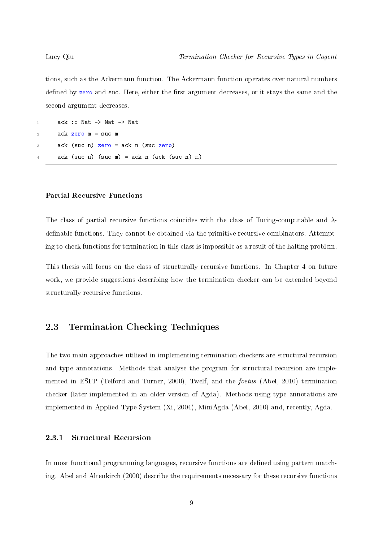tions, such as the Ackermann function. The Ackermann function operates over natural numbers defined by zero and suc. Here, either the first argument decreases, or it stays the same and the second argument decreases.

|       | $ack :$ Nat $\rightarrow$ Nat $\rightarrow$ Nat |
|-------|-------------------------------------------------|
| 2     | ack zero m = suc m                              |
| $3 -$ | ack (suc n) zero = ack n (suc zero)             |
|       | $ack (suc n) (suc m) = ack n (ack (suc n) m)$   |

#### Partial Recursive Functions

The class of partial recursive functions coincides with the class of Turing-computable and  $\lambda$ definable functions. They cannot be obtained via the primitive recursive combinators. Attempting to check functions for termination in this class is impossible as a result of the halting problem.

This thesis will focus on the class of structurally recursive functions. In Chapter 4 on future work, we provide suggestions describing how the termination checker can be extended beyond structurally recursive functions.

### 2.3 Termination Checking Techniques

The two main approaches utilised in implementing termination checkers are structural recursion and type annotations. Methods that analyse the program for structural recursion are implemented in ESFP (Telford and Turner, 2000), Twelf, and the foetus (Abel, 2010) termination checker (later implemented in an older version of Agda). Methods using type annotations are implemented in Applied Type System (Xi, 2004), MiniAgda (Abel, 2010) and, recently, Agda.

#### 2.3.1 Structural Recursion

In most functional programming languages, recursive functions are dened using pattern matching. Abel and Altenkirch (2000) describe the requirements necessary for these recursive functions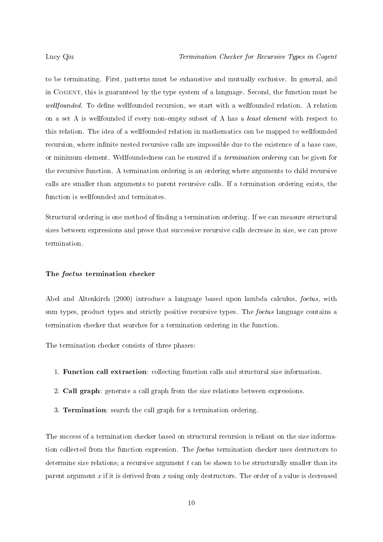to be terminating. First, patterns must be exhaustive and mutually exclusive. In general, and in Cogent, this is guaranteed by the type system of a language. Second, the function must be wellfounded. To define wellfounded recursion, we start with a wellfounded relation. A relation on a set A is wellfounded if every non-empty subset of A has a least element with respect to this relation. The idea of a wellfounded relation in mathematics can be mapped to wellfounded recursion, where infinite nested recursive calls are impossible due to the existence of a base case, or minimum element. Wellfoundedness can be ensured if a termination ordering can be given for the recursive function. A termination ordering is an ordering where arguments to child recursive calls are smaller than arguments to parent recursive calls. If a termination ordering exists, the function is wellfounded and terminates.

Structural ordering is one method of nding a termination ordering. If we can measure structural sizes between expressions and prove that successive recursive calls decrease in size, we can prove termination.

#### The *foetus* termination checker

Abel and Altenkirch (2000) introduce a language based upon lambda calculus, foetus, with sum types, product types and strictly positive recursive types. The foetus language contains a termination checker that searches for a termination ordering in the function.

The termination checker consists of three phases:

- 1. Function call extraction: collecting function calls and structural size information.
- 2. Call graph: generate a call graph from the size relations between expressions.
- 3. Termination: search the call graph for a termination ordering.

The success of a termination checker based on structural recursion is reliant on the size information collected from the function expression. The *foetus* termination checker uses destructors to determine size relations; a recursive argument  $t$  can be shown to be structurally smaller than its parent argument  $x$  if it is derived from  $x$  using only destructors. The order of a value is decreased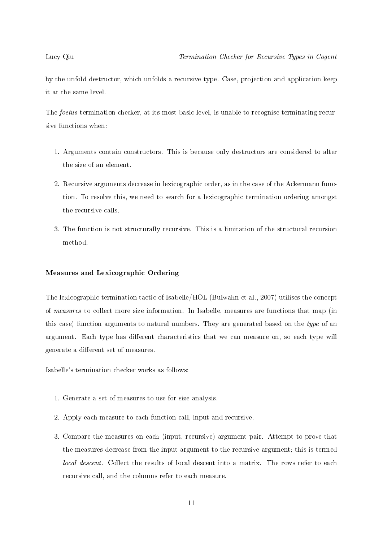by the unfold destructor, which unfolds a recursive type. Case, projection and application keep it at the same level.

The foetus termination checker, at its most basic level, is unable to recognise terminating recursive functions when:

- 1. Arguments contain constructors. This is because only destructors are considered to alter the size of an element.
- 2. Recursive arguments decrease in lexicographic order, as in the case of the Ackermann function. To resolve this, we need to search for a lexicographic termination ordering amongst the recursive calls.
- 3. The function is not structurally recursive. This is a limitation of the structural recursion method.

#### Measures and Lexicographic Ordering

The lexicographic termination tactic of Isabelle/HOL (Bulwahn et al., 2007) utilises the concept of measures to collect more size information. In Isabelle, measures are functions that map (in this case) function arguments to natural numbers. They are generated based on the type of an argument. Each type has different characteristics that we can measure on, so each type will generate a different set of measures.

Isabelle's termination checker works as follows:

- 1. Generate a set of measures to use for size analysis.
- 2. Apply each measure to each function call, input and recursive.
- 3. Compare the measures on each (input, recursive) argument pair. Attempt to prove that the measures decrease from the input argument to the recursive argument; this is termed local descent. Collect the results of local descent into a matrix. The rows refer to each recursive call, and the columns refer to each measure.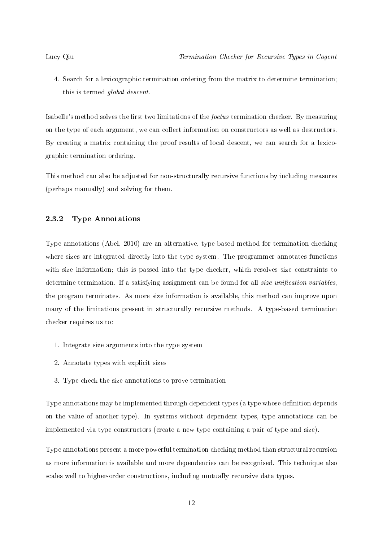4. Search for a lexicographic termination ordering from the matrix to determine termination; this is termed global descent.

Isabelle's method solves the first two limitations of the *foetus* termination checker. By measuring on the type of each argument, we can collect information on constructors as well as destructors. By creating a matrix containing the proof results of local descent, we can search for a lexicographic termination ordering.

This method can also be adjusted for non-structurally recursive functions by including measures (perhaps manually) and solving for them.

#### 2.3.2 Type Annotations

Type annotations (Abel, 2010) are an alternative, type-based method for termination checking where sizes are integrated directly into the type system. The programmer annotates functions with size information; this is passed into the type checker, which resolves size constraints to determine termination. If a satisfying assignment can be found for all *size unification variables*, the program terminates. As more size information is available, this method can improve upon many of the limitations present in structurally recursive methods. A type-based termination checker requires us to:

- 1. Integrate size arguments into the type system
- 2. Annotate types with explicit sizes
- 3. Type check the size annotations to prove termination

Type annotations may be implemented through dependent types (a type whose definition depends on the value of another type). In systems without dependent types, type annotations can be implemented via type constructors (create a new type containing a pair of type and size).

Type annotations present a more powerful termination checking method than structural recursion as more information is available and more dependencies can be recognised. This technique also scales well to higher-order constructions, including mutually recursive data types.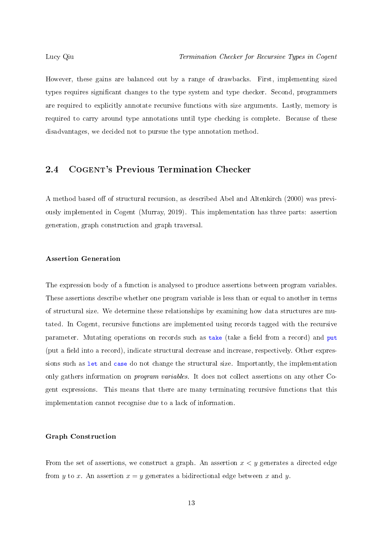However, these gains are balanced out by a range of drawbacks. First, implementing sized types requires signicant changes to the type system and type checker. Second, programmers are required to explicitly annotate recursive functions with size arguments. Lastly, memory is required to carry around type annotations until type checking is complete. Because of these disadvantages, we decided not to pursue the type annotation method.

### 2.4 COGENT's Previous Termination Checker

A method based off of structural recursion, as described Abel and Altenkirch (2000) was previously implemented in Cogent (Murray, 2019). This implementation has three parts: assertion generation, graph construction and graph traversal.

#### Assertion Generation

The expression body of a function is analysed to produce assertions between program variables. These assertions describe whether one program variable is less than or equal to another in terms of structural size. We determine these relationships by examining how data structures are mutated. In Cogent, recursive functions are implemented using records tagged with the recursive parameter. Mutating operations on records such as take (take a field from a record) and put (put a field into a record), indicate structural decrease and increase, respectively. Other expressions such as let and case do not change the structural size. Importantly, the implementation only gathers information on program variables. It does not collect assertions on any other Cogent expressions. This means that there are many terminating recursive functions that this implementation cannot recognise due to a lack of information.

#### Graph Construction

From the set of assertions, we construct a graph. An assertion  $x < y$  generates a directed edge from y to x. An assertion  $x = y$  generates a bidirectional edge between x and y.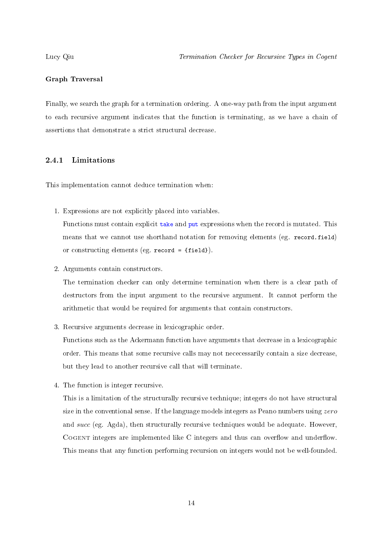#### Graph Traversal

Finally, we search the graph for a termination ordering. A one-way path from the input argument to each recursive argument indicates that the function is terminating, as we have a chain of assertions that demonstrate a strict structural decrease.

#### 2.4.1 Limitations

This implementation cannot deduce termination when:

1. Expressions are not explicitly placed into variables.

Functions must contain explicit take and put expressions when the record is mutated. This means that we cannot use shorthand notation for removing elements (eg. record.field) or constructing elements (eg. record = {field}).

2. Arguments contain constructors.

The termination checker can only determine termination when there is a clear path of destructors from the input argument to the recursive argument. It cannot perform the arithmetic that would be required for arguments that contain constructors.

3. Recursive arguments decrease in lexicographic order.

Functions such as the Ackermann function have arguments that decrease in a lexicographic order. This means that some recursive calls may not nececessarily contain a size decrease, but they lead to another recursive call that will terminate.

4. The function is integer recursive.

This is a limitation of the structurally recursive technique; integers do not have structural size in the conventional sense. If the language models integers as Peano numbers using zero and *succ* (eg. Agda), then structurally recursive techniques would be adequate. However, COGENT integers are implemented like C integers and thus can overflow and underflow. This means that any function performing recursion on integers would not be well-founded.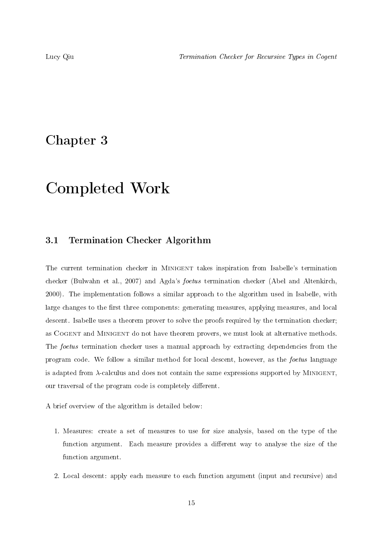## Chapter 3

## Completed Work

### 3.1 Termination Checker Algorithm

The current termination checker in MINIGENT takes inspiration from Isabelle's termination checker (Bulwahn et al., 2007) and Agda's foetus termination checker (Abel and Altenkirch, 2000). The implementation follows a similar approach to the algorithm used in Isabelle, with large changes to the first three components: generating measures, applying measures, and local descent. Isabelle uses a theorem prover to solve the proofs required by the termination checker; as Cogent and Minigent do not have theorem provers, we must look at alternative methods. The foetus termination checker uses a manual approach by extracting dependencies from the program code. We follow a similar method for local descent, however, as the foetus language is adapted from λ-calculus and does not contain the same expressions supported by MINIGENT, our traversal of the program code is completely different.

A brief overview of the algorithm is detailed below:

- 1. Measures: create a set of measures to use for size analysis, based on the type of the function argument. Each measure provides a different way to analyse the size of the function argument.
- 2. Local descent: apply each measure to each function argument (input and recursive) and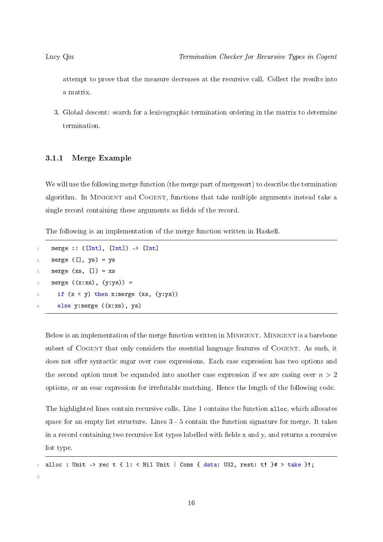$\overline{2}$ 

attempt to prove that the measure decreases at the recursive call. Collect the results into a matrix.

3. Global descent: search for a lexicographic termination ordering in the matrix to determine termination.

#### 3.1.1 Merge Example

We will use the following merge function (the merge part of mergesort) to describe the termination algorithm. In Minigent and Cogent, functions that take multiple arguments instead take a single record containing these arguments as fields of the record.

The following is an implementation of the merge function written in Haskell.

```
1 merge :: ([Int], [Int]) \rightarrow [Int]2 merge ([], ys) = ys
\text{supp}(x, []) = x\text{s}4 merge ((x:xs), (y:ys)) =5 if (x < y) then x:merge (xs, (y:ys))6 else y:merge ((x:xs), ys)
```
Below is an implementation of the merge function written in MINIGENT. MINIGENT is a barebone subset of Cogent that only considers the essential language features of Cogent. As such, it does not offer syntactic sugar over case expressions. Each case expression has two options and the second option must be expanded into another case expression if we are casing over  $n > 2$ options, or an esac expression for irrefutable matching. Hence the length of the following code.

The highlighted lines contain recursive calls. Line 1 contains the function alloc, which allocates space for an empty list structure. Lines 3 - 5 contain the function signature for merge. It takes in a record containing two recursive list types labelled with fields x and y, and returns a recursive list type.

alloc : Unit -> rec t { 1: < Nil Unit | Cons { data: U32, rest: t! }# > take }!;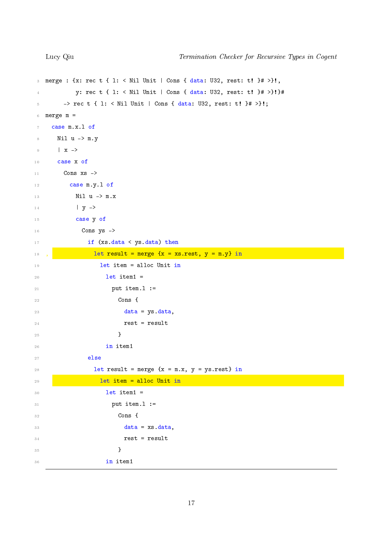```
3 merge : {x: rec t { 1: < Nil Unit | Cons { data: U32, rest: t! }# >}!,
4 , y: rec t { l: < Nil Unit | Cons { data: U32, rest: t! }# >}!}#
5 -> rec t { 1: < Nil Unit | Cons { data: U32, rest: t! }# >}!;
6 merge m =
7 case m.x.l of
     Nil u \rightarrow m.y
9 x ->
10 case x of
11 Cons xs ->
12 case m.y.l of
13 Nil u - m.x
14 | y - \rangle15 case y of
16 , Cons ys ->
17 if (xs.data < ys.data) then
18 , \vert let result = merge {x = xs.rest, y = m.y} in
19 , let item = alloc Unit in
20 let item1 =
21 put item.l :=
22 Cons {
23 data = ys.data,
24 rest = result
25 }26 in item1
27 else
28 1et result = merge \{x = m.x, y = ys.rest\} in
29 , 29 , 29 , 29 , 29 , 29 , 29 , 29 , 29 , 29 , 29 , 29 , 29 , 29 , 29 , 29 , 29 , 29 , 29 , 29 , 29 , 29 , 29 , 29 , 29 , 29 , 29 , 29 , 29 , 29 , 29 , 2930 let item1 =31 put item.1 :=
32 Cons \{33 data = xs.data,
34 rest = result
35 }36 in item1
```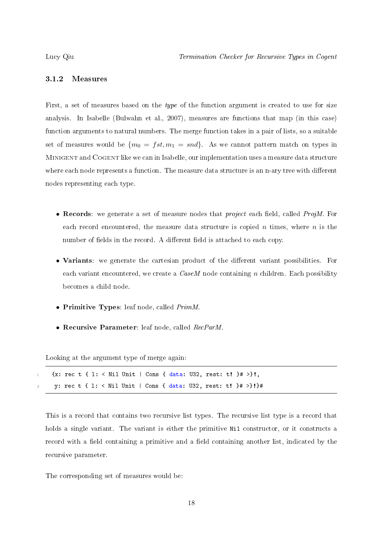#### 3.1.2 Measures

First, a set of measures based on the type of the function argument is created to use for size analysis. In Isabelle (Bulwahn et al., 2007), measures are functions that map (in this case) function arguments to natural numbers. The merge function takes in a pair of lists, so a suitable set of measures would be  $\{m_0 = fst, m_1 = snd\}$ . As we cannot pattern match on types in Minigent and Cogent like we can in Isabelle, our implementation uses a measure data structure where each node represents a function. The measure data structure is an n-ary tree with different nodes representing each type.

- Records: we generate a set of measure nodes that *project* each field, called  $Proj M$ . For each record encountered, the measure data structure is copied  $n$  times, where  $n$  is the number of fields in the record. A different field is attached to each copy.
- Variants: we generate the cartesian product of the different variant possibilities. For each variant encountered, we create a  $CaseM$  node containing n children. Each possibility becomes a child node.
- Primitive Types: leaf node, called PrimM.
- Recursive Parameter: leaf node, called RecParM.

Looking at the argument type of merge again:

```
{x: rec t { 1: < Nil Unit | Cons { data: U32, rest: t! }# >}!,
2 y: rec t { l: < Nil Unit | Cons { data: U32, rest: t! }# >}!}#
```
This is a record that contains two recursive list types. The recursive list type is a record that holds a single variant. The variant is either the primitive Nil constructor, or it constructs a record with a field containing a primitive and a field containing another list, indicated by the recursive parameter.

The corresponding set of measures would be: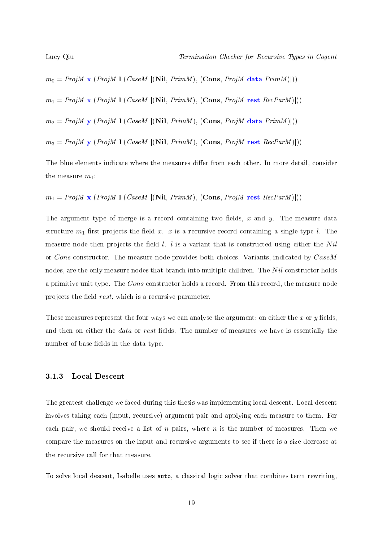$m_0 = ProjM \times (ProjM \ 1 \ (Case M \ [(\textbf{Nil}, PrimM), (\textbf{Cons}, ProjM \ \textbf{data} \ PrimM )]))$ 

 $m_1 = ProjM \times (ProjM \ 1 \ (Case M \ [(NiI, PrimM), (Cons, ProjM \ rest \ RecParM ) ]))$ 

 $m_2 = ProjM$  y (ProjM 1 (CaseM [(Nil, PrimM), (Cons, ProjM data PrimM)]))

 $m_3 = ProjM$  y (ProjM 1 (CaseM [(Nil, PrimM), (Cons, ProjM rest RecParM)]))

The blue elements indicate where the measures differ from each other. In more detail, consider the measure  $m_1$ :

 $m_1 = ProjM \times (ProjM 1 (Case M [(Nil, PrimM), (Cons, ProjM rest RecParM )]))$ 

The argument type of merge is a record containing two fields, x and y. The measure data structure  $m_1$  first projects the field x. x is a recursive record containing a single type l. The measure node then projects the field l. l is a variant that is constructed using either the Nil or Cons constructor. The measure node provides both choices. Variants, indicated by CaseM nodes, are the only measure nodes that branch into multiple children. The  $Nil$  constructor holds a primitive unit type. The Cons constructor holds a record. From this record, the measure node projects the field rest, which is a recursive parameter.

These measures represent the four ways we can analyse the argument; on either the x or y fields, and then on either the *data* or rest fields. The number of measures we have is essentially the number of base fields in the data type.

#### 3.1.3 Local Descent

The greatest challenge we faced during this thesis was implementing local descent. Local descent involves taking each (input, recursive) argument pair and applying each measure to them. For each pair, we should receive a list of  $n$  pairs, where  $n$  is the number of measures. Then we compare the measures on the input and recursive arguments to see if there is a size decrease at the recursive call for that measure.

To solve local descent, Isabelle uses auto, a classical logic solver that combines term rewriting,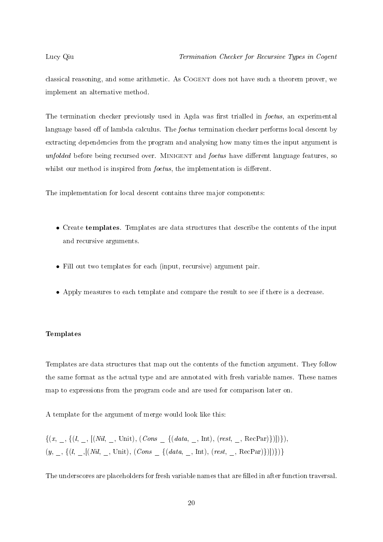classical reasoning, and some arithmetic. As Cogent does not have such a theorem prover, we implement an alternative method.

The termination checker previously used in Agda was first trialled in *foetus*, an experimental language based off of lambda calculus. The *foetus* termination checker performs local descent by extracting dependencies from the program and analysing how many times the input argument is unfolded before being recursed over. MINIGENT and foetus have different language features, so whilst our method is inspired from *foetus*, the implementation is different.

The implementation for local descent contains three major components:

- Create templates. Templates are data structures that describe the contents of the input and recursive arguments.
- Fill out two templates for each (input, recursive) argument pair.
- Apply measures to each template and compare the result to see if there is a decrease.

#### Templates

Templates are data structures that map out the contents of the function argument. They follow the same format as the actual type and are annotated with fresh variable names. These names map to expressions from the program code and are used for comparison later on.

A template for the argument of merge would look like this:

$$
\{(x, \_, \{(l, \_, \, [(Nil, \_, \, \text{Unit}), (Cons \_, \{(data, \_, \, \text{Int}), (rest, \_, \, \text{RecPar})\})]\}), (y, \_, \{ (l, \_, \, [(Nil, \_, \, \text{Unit}), (Cons \_, \{(data, \_, \, \text{Int}), (rest, \_, \, \text{RecPar})\} )]\})\}\})
$$

The underscores are placeholders for fresh variable names that are filled in after function traversal.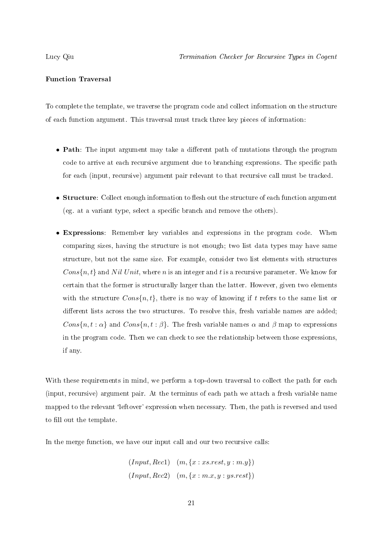#### Function Traversal

To complete the template, we traverse the program code and collect information on the structure of each function argument. This traversal must track three key pieces of information:

- Path: The input argument may take a different path of mutations through the program code to arrive at each recursive argument due to branching expressions. The specific path for each (input, recursive) argument pair relevant to that recursive call must be tracked.
- Structure: Collect enough information to flesh out the structure of each function argument (eg. at a variant type, select a specific branch and remove the others).
- Expressions: Remember key variables and expressions in the program code. When comparing sizes, having the structure is not enough; two list data types may have same structure, but not the same size. For example, consider two list elements with structures  $Cons\{n, t\}$  and Nil Unit, where n is an integer and t is a recursive parameter. We know for certain that the former is structurally larger than the latter. However, given two elements with the structure  $Cons\{n, t\}$ , there is no way of knowing if t refers to the same list or different lists across the two structures. To resolve this, fresh variable names are added;  $Cons\{n, t : \alpha\}$  and  $Cons\{n, t : \beta\}$ . The fresh variable names  $\alpha$  and  $\beta$  map to expressions in the program code. Then we can check to see the relationship between those expressions, if any.

With these requirements in mind, we perform a top-down traversal to collect the path for each (input, recursive) argument pair. At the terminus of each path we attach a fresh variable name mapped to the relevant 'leftover' expression when necessary. Then, the path is reversed and used to fill out the template.

In the merge function, we have our input call and our two recursive calls:

 $(Input, Rec1)$   $(m, \{x : xs.rest, y : m.y\})$  $(Input, Rec2)$   $(m, \{x : m.x, y : ys.rest\})$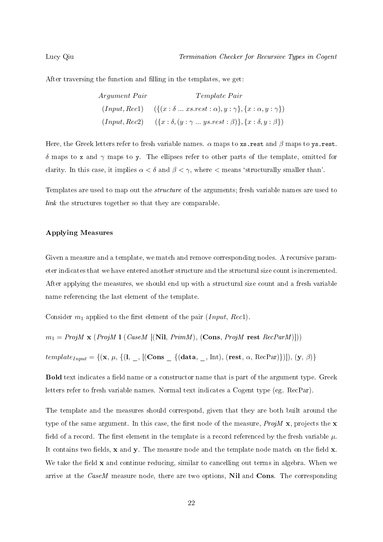After traversing the function and filling in the templates, we get:

| Argument Pair | <i>Template Pair</i>                                                                                     |  |  |  |
|---------------|----------------------------------------------------------------------------------------------------------|--|--|--|
|               | $(Input, Rec1) \quad (\{(x : \delta \dots xs. rest : \alpha), y : \gamma\}, \{x : \alpha, y : \gamma\})$ |  |  |  |
|               | $(Input, Rec2) \qquad (\{x : \delta, (y : \gamma  y s. rest : \beta)\}, \{x : \delta, y : \beta\})$      |  |  |  |

Here, the Greek letters refer to fresh variable names.  $\alpha$  maps to xs.rest and  $\beta$  maps to ys.rest. δ maps to x and γ maps to y. The ellipses refer to other parts of the template, omitted for clarity. In this case, it implies  $\alpha < \delta$  and  $\beta < \gamma$ , where  $\epsilon$  means 'structurally smaller than'.

Templates are used to map out the *structure* of the arguments; fresh variable names are used to link the structures together so that they are comparable.

#### Applying Measures

Given a measure and a template, we match and remove corresponding nodes. A recursive parameter indicates that we have entered another structure and the structural size count is incremented. After applying the measures, we should end up with a structural size count and a fresh variable name referencing the last element of the template.

Consider  $m_1$  applied to the first element of the pair  $(Input, Rec1)$ .

 $m_1 = ProjM \times (ProjM \ 1 \ (Case M \ [(Nil, PrimM), (Cons, ProjM \ rest \ RecParM )]))$ 

 $template_{Input} = \{(\mathbf{x}, \mu, \{(l, \_), [(Cons \_ \{(data, \_), Int), (rest, \alpha, RecPar)\})]), (\mathbf{y}, \beta)\}$ 

Bold text indicates a field name or a constructor name that is part of the argument type. Greek letters refer to fresh variable names. Normal text indicates a Cogent type (eg. RecPar).

The template and the measures should correspond, given that they are both built around the type of the same argument. In this case, the first node of the measure, ProjM  $x$ , projects the x field of a record. The first element in the template is a record referenced by the fresh variable  $\mu$ . It contains two fields,  $x$  and  $y$ . The measure node and the template node match on the field  $x$ . We take the field  $x$  and continue reducing, similar to cancelling out terms in algebra. When we arrive at the  $\textit{CaseM}$  measure node, there are two options, Nil and Cons. The corresponding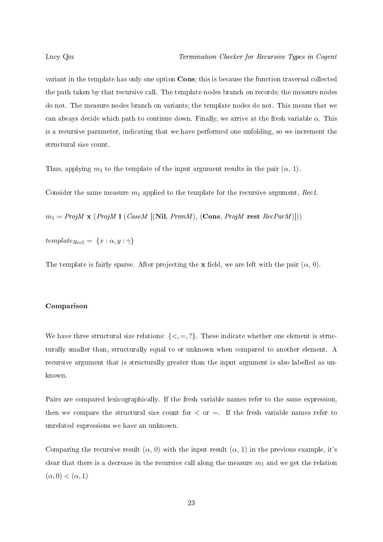variant in the template has only one option Cons; this is because the function traversal collected the path taken by that recursive call. The template nodes branch on records; the measure nodes do not. The measure nodes branch on variants; the template nodes do not. This means that we can always decide which path to continue down. Finally, we arrive at the fresh variable  $\alpha$ . This is a recursive parameter, indicating that we have performed one unfolding, so we increment the structural size count.

Thus, applying  $m_1$  to the template of the input argument results in the pair  $(\alpha, 1)$ .

Consider the same measure  $m_1$  applied to the template for the recursive argument, Rec1.

 $m_1 = ProjM \times (ProjM \mid (Case M \mid (Nil, PrimM), (Cons, ProjM \text{ rest } RecParM)]))$ 

 $template_{Rec1} = \{x : \alpha, y : \gamma\}$ 

The template is fairly sparse. After projecting the x field, we are left with the pair  $(\alpha, 0)$ .

#### Comparison

We have three structural size relations:  $\{<, =, ?\}$ . These indicate whether one element is structurally smaller than, structurally equal to or unknown when compared to another element. A recursive argument that is structurally greater than the input argument is also labelled as unknown.

Pairs are compared lexicographically. If the fresh variable names refer to the same expression, then we compare the structural size count for  $\langle$  or  $\equiv$ . If the fresh variable names refer to unrelated expressions we have an unknown.

Comparing the recursive result  $(\alpha, 0)$  with the input result  $(\alpha, 1)$  in the previous example, it's clear that there is a decrease in the recursive call along the measure  $m_1$  and we get the relation  $(\alpha, 0) < (\alpha, 1)$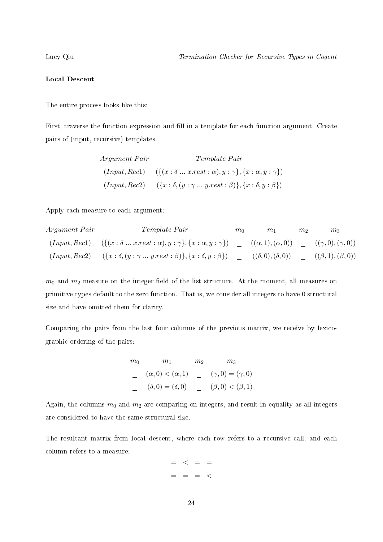#### Local Descent

The entire process looks like this:

First, traverse the function expression and fill in a template for each function argument. Create pairs of (input, recursive) templates.

| <i>Argument Pair</i> | <i>Template Pair</i>                                                                                    |  |  |  |
|----------------------|---------------------------------------------------------------------------------------------------------|--|--|--|
|                      | $(Input, Rec1) \quad (\{(x : \delta \dots x. rest : \alpha), y : \gamma\}, \{x : \alpha, y : \gamma\})$ |  |  |  |
| (Input, Rec2)        | $(\{x : \delta, (y : \gamma \dots y \cdot rest : \beta)\}, \{x : \delta, y : \beta\})$                  |  |  |  |

Apply each measure to each argument:

| <i>Argument Pair</i> | <i>Template Pair</i>                                                                                     | $m_0$ | m <sub>1</sub>            | mә | m <sub>3</sub>            |
|----------------------|----------------------------------------------------------------------------------------------------------|-------|---------------------------|----|---------------------------|
|                      | $(Input, Rec1) \qquad (\{(x : \delta \dots x. rest : \alpha), y : \gamma\}, \{x : \alpha, y : \gamma\})$ |       | $((\alpha,1),(\alpha,0))$ |    | $((\gamma,0),(\gamma,0))$ |
| (Input, Rec2)        | $(\{x : \delta, (y : \gamma \dots y \cdot rest : \beta)\}, \{x : \delta, y : \beta\})$                   |       | $((\delta,0),(\delta,0))$ |    | $((\beta,1),(\beta,0))$   |

 $m_0$  and  $m_2$  measure on the integer field of the list structure. At the moment, all measures on primitive types default to the zero function. That is, we consider all integers to have 0 structural size and have omitted them for clarity.

Comparing the pairs from the last four columns of the previous matrix, we receive by lexicographic ordering of the pairs:

$$
m_0 \t m_1 \t m_2 \t m_3
$$
  
\n
$$
(\alpha, 0) < (\alpha, 1) \t (\gamma, 0) = (\gamma, 0)
$$
  
\n
$$
(\delta, 0) = (\delta, 0) \t (\beta, 0) < (\beta, 1)
$$

Again, the columns  $m_0$  and  $m_2$  are comparing on integers, and result in equality as all integers are considered to have the same structural size.

The resultant matrix from local descent, where each row refers to a recursive call, and each column refers to a measure:

> $=$   $<$   $=$   $=$  $=$   $=$   $<$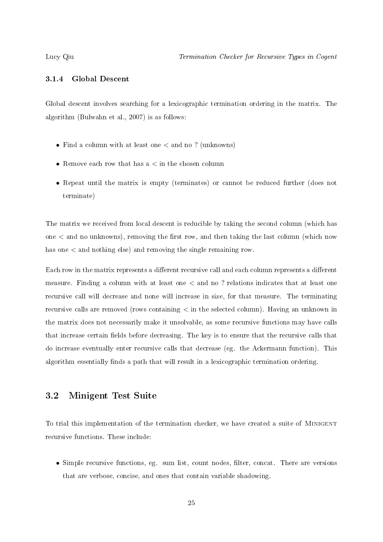#### 3.1.4 Global Descent

Global descent involves searching for a lexicographic termination ordering in the matrix. The algorithm (Bulwahn et al., 2007) is as follows:

- Find a column with at least one < and no ? (unknowns)
- Remove each row that has  $a <$  in the chosen column
- Repeat until the matrix is empty (terminates) or cannot be reduced further (does not terminate)

The matrix we received from local descent is reducible by taking the second column (which has one  $\leq$  and no unknowns), removing the first row, and then taking the last column (which now has one < and nothing else) and removing the single remaining row.

Each row in the matrix represents a different recursive call and each column represents a different measure. Finding a column with at least one < and no ? relations indicates that at least one recursive call will decrease and none will increase in size, for that measure. The terminating recursive calls are removed (rows containing < in the selected column). Having an unknown in the matrix does not necessarily make it unsolvable, as some recursive functions may have calls that increase certain fields before decreasing. The key is to ensure that the recursive calls that do increase eventually enter recursive calls that decrease (eg. the Ackermann function). This algorithm essentially finds a path that will result in a lexicographic termination ordering.

#### 3.2 Minigent Test Suite

To trial this implementation of the termination checker, we have created a suite of Minigent recursive functions. These include:

• Simple recursive functions, eg. sum list, count nodes, filter, concat. There are versions that are verbose, concise, and ones that contain variable shadowing.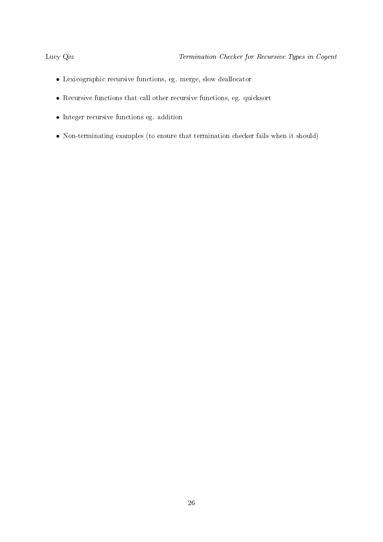- Lexicographic recursive functions, eg. merge, slow deallocator
- Recursive functions that call other recursive functions, eg. quicksort
- Integer recursive functions eg. addition
- Non-terminating examples (to ensure that termination checker fails when it should)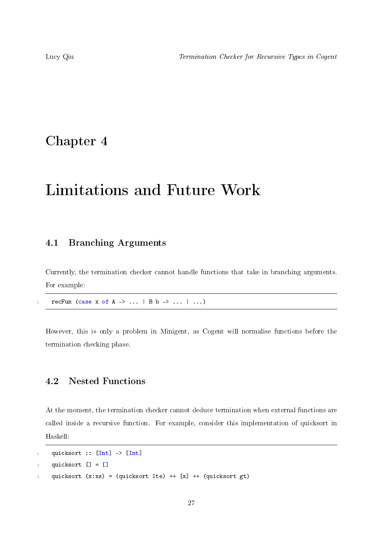## Chapter 4

# Limitations and Future Work

### 4.1 Branching Arguments

Currently, the termination checker cannot handle functions that take in branching arguments. For example:

recFun (case x of A -> ...  $\mid$  B b -> ...  $\mid$  ...)

However, this is only a problem in Minigent, as Cogent will normalise functions before the termination checking phase.

### 4.2 Nested Functions

At the moment, the termination checker cannot deduce termination when external functions are called inside a recursive function. For example, consider this implementation of quicksort in Haskell:

```
1 quicksort :: [Int] -> [Int]
2 quicksort [] = []
3 quicksort (x:xs) = (quicksort 1te) ++ [x] ++ (quicksort gt)
```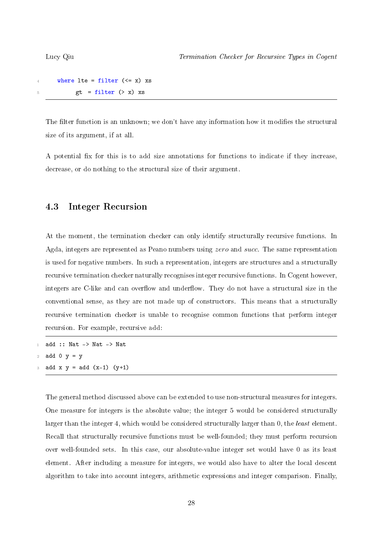```
where lte = filter (\leq x) xs
     gt = filter (> x) xs
```
The filter function is an unknown; we don't have any information how it modifies the structural size of its argument, if at all.

A potential fix for this is to add size annotations for functions to indicate if they increase, decrease, or do nothing to the structural size of their argument.

#### 4.3 Integer Recursion

At the moment, the termination checker can only identify structurally recursive functions. In Agda, integers are represented as Peano numbers using zero and succ. The same representation is used for negative numbers. In such a representation, integers are structures and a structurally recursive termination checker naturally recognises integer recursive functions. In Cogent however, integers are C-like and can overflow and underflow. They do not have a structural size in the conventional sense, as they are not made up of constructors. This means that a structurally recursive termination checker is unable to recognise common functions that perform integer recursion. For example, recursive add:

```
add :: Nat -> Nat -> Nat
2 add 0 y = yadd x \ y = add (x-1) (y+1)
```
The general method discussed above can be extended to use non-structural measures for integers. One measure for integers is the absolute value; the integer 5 would be considered structurally larger than the integer 4, which would be considered structurally larger than 0, the least element. Recall that structurally recursive functions must be well-founded; they must perform recursion over well-founded sets. In this case, our absolute-value integer set would have 0 as its least element. After including a measure for integers, we would also have to alter the local descent algorithm to take into account integers, arithmetic expressions and integer comparison. Finally,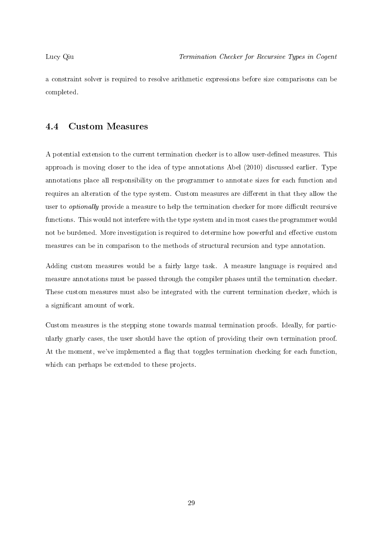a constraint solver is required to resolve arithmetic expressions before size comparisons can be completed.

#### 4.4 Custom Measures

A potential extension to the current termination checker is to allow user-dened measures. This approach is moving closer to the idea of type annotations Abel (2010) discussed earlier. Type annotations place all responsibility on the programmer to annotate sizes for each function and requires an alteration of the type system. Custom measures are different in that they allow the user to *optionally* provide a measure to help the termination checker for more difficult recursive functions. This would not interfere with the type system and in most cases the programmer would not be burdened. More investigation is required to determine how powerful and effective custom measures can be in comparison to the methods of structural recursion and type annotation.

Adding custom measures would be a fairly large task. A measure language is required and measure annotations must be passed through the compiler phases until the termination checker. These custom measures must also be integrated with the current termination checker, which is a significant amount of work.

Custom measures is the stepping stone towards manual termination proofs. Ideally, for particularly gnarly cases, the user should have the option of providing their own termination proof. At the moment, we've implemented a flag that toggles termination checking for each function, which can perhaps be extended to these projects.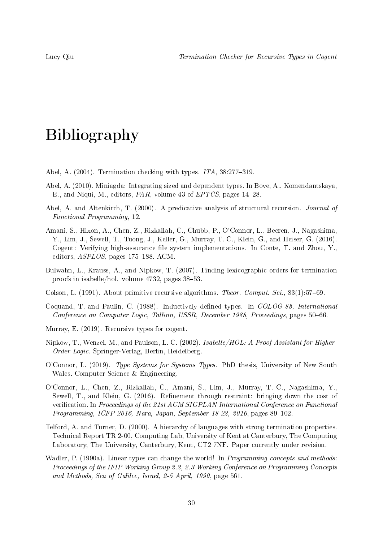# Bibliography

Abel, A. (2004). Termination checking with types. ITA,  $38:277-319$ .

- Abel, A. (2010). Miniagda: Integrating sized and dependent types. In Bove, A., Komendantskaya, E., and Niqui, M., editors, PAR, volume 43 of EPTCS, pages 14–28.
- Abel, A. and Altenkirch, T. (2000). A predicative analysis of structural recursion. Journal of Functional Programming, 12.
- Amani, S., Hixon, A., Chen, Z., Rizkallah, C., Chubb, P., O'Connor, L., Beeren, J., Nagashima, Y., Lim, J., Sewell, T., Tuong, J., Keller, G., Murray, T. C., Klein, G., and Heiser, G. (2016). Cogent: Verifying high-assurance file system implementations. In Conte,  $T$ . and Zhou,  $Y$ . editors,  $ASPLOS$ , pages 175-188. ACM.
- Bulwahn, L., Krauss, A., and Nipkow, T. (2007). Finding lexicographic orders for termination proofs in isabelle/hol. volume  $4732$ , pages  $38-53$ .
- Colson, L. (1991). About primitive recursive algorithms. Theor. Comput. Sci.,  $83(1)$ :57–69.
- Coquand, T. and Paulin, C. (1988). Inductively defined types. In COLOG-88, International Conference on Computer Logic, Tallinn, USSR, December 1988, Proceedings, pages 50–66.
- Murray, E. (2019). Recursive types for cogent.
- Nipkow, T., Wenzel, M., and Paulson, L. C. (2002). Isabelle/HOL: A Proof Assistant for Higher-Order Logic. Springer-Verlag, Berlin, Heidelberg.
- O'Connor, L. (2019). Type Systems for Systems Types. PhD thesis, University of New South Wales. Computer Science & Engineering.
- O'Connor, L., Chen, Z., Rizkallah, C., Amani, S., Lim, J., Murray, T. C., Nagashima, Y., Sewell,  $T_{\cdot}$ , and Klein,  $G_{\cdot}$  (2016). Refinement through restraint: bringing down the cost of verification. In Proceedings of the 21st ACM SIGPLAN International Conference on Functional Programming, ICFP 2016, Nara, Japan, September 18-22, 2016, pages 89-102.
- Telford, A. and Turner, D. (2000). A hierarchy of languages with strong termination properties. Technical Report TR 2-00, Computing Lab, University of Kent at Canterbury, The Computing Laboratory, The University, Canterbury, Kent, CT2 7NF. Paper currently under revision.
- Wadler, P. (1990a). Linear types can change the world! In *Programming concepts and methods:* Proceedings of the IFIP Working Group 2.2, 2.3 Working Conference on Programming Concepts and Methods, Sea of Galilee, Israel, 2-5 April, 1990, page 561.